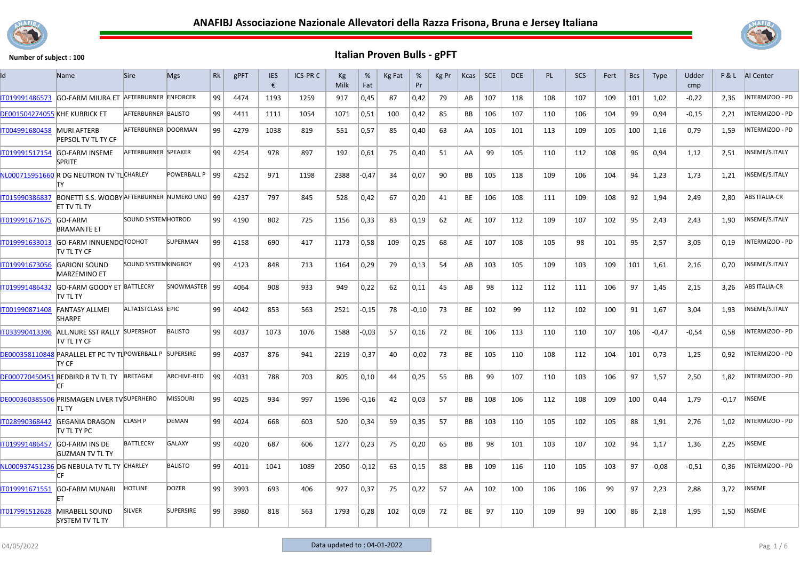



| Id                            | Name                                                                | <b>Sire</b>                | <b>Mgs</b>         | Rk | gPFT | <b>IES</b><br>€ | ICS-PR € | Kg<br>Milk | %<br>Fat | Kg Fat | %<br>Pr | Kg Pr | Kcas      | <b>SCE</b> | <b>DCE</b> | <b>PL</b> | <b>SCS</b> | Fert | <b>Bcs</b> | <b>Type</b> | Udder<br>cmp |         | <b>F&amp;L</b> AI Center |
|-------------------------------|---------------------------------------------------------------------|----------------------------|--------------------|----|------|-----------------|----------|------------|----------|--------|---------|-------|-----------|------------|------------|-----------|------------|------|------------|-------------|--------------|---------|--------------------------|
| T019991486573                 | GO-FARM MIURA ET AFTERBURNER ENFORCER                               |                            |                    | 99 | 4474 | 1193            | 1259     | 917        | 0,45     | 87     | 0,42    | 79    | AB        | 107        | 118        | 108       | 107        | 109  | 101        | 1.02        | $-0.22$      | 2.36    | NTERMIZOO - PD           |
| DE001504274055 KHE KUBRICK ET |                                                                     | AFTERBURNER BALISTO        |                    | 99 | 4411 | 1111            | 1054     | 1071       | 0,51     | 100    | 0,42    | 85    | <b>BB</b> | 106        | 107        | 110       | 106        | 104  | 99         | 0.94        | $-0,15$      | 2,21    | INTERMIZOO - PD          |
| IT004991680458                | <b>MURI AFTERB</b><br>PEPSOL TV TL TY CF                            | AFTERBURNER DOORMAN        |                    | 99 | 4279 | 1038            | 819      | 551        | 0,57     | 85     | 0,40    | 63    | AA        | 105        | 101        | 113       | 109        | 105  | 100        | 1,16        | 0,79         | 1,59    | INTERMIZOO - PD          |
| IT019991517154                | <b>GO-FARM INSEME</b><br><b>SPRITE</b>                              | AFTERBURNER SPEAKER        |                    | 99 | 4254 | 978             | 897      | 192        | 0,61     | 75     | 0,40    | 51    | AA        | 99         | 105        | 110       | 112        | 108  | 96         | 0,94        | 1,12         | 2,51    | INSEME/S.ITALY           |
|                               | NL000715951660 R DG NEUTRON TV TLCHARLEY<br>TY                      |                            | POWERBALL P 99     |    | 4252 | 971             | 1198     | 2388       | -0,47    | 34     | 0,07    | 90    | <b>BB</b> | 105        | 118        | 109       | 106        | 104  | 94         | 1,23        | 1,73         | 1,21    | INSEME/S.ITALY           |
| T015990386837                 | BONETTI S.S. WOOBY AFTERBURNER NUMERO UNO 99<br><b>ET TV TL TY</b>  |                            |                    |    | 4237 | 797             | 845      | 528        | 0,42     | 67     | 0,20    | 41    | BE        | 106        | 108        | 111       | 109        | 108  | 92         | 1,94        | 2.49         | 2.80    | <b>ABS ITALIA-CR</b>     |
| IT019991671675                | <b>GO-FARM</b><br><b>BRAMANTE ET</b>                                | <b>SOUND SYSTEM HOTROD</b> |                    | 99 | 4190 | 802             | 725      | 1156       | 0,33     | 83     | 0,19    | 62    | AE        | 107        | 112        | 109       | 107        | 102  | 95         | 2,43        | 2,43         | 1,90    | INSEME/S.ITALY           |
| T019991633013                 | GO-FARM INNUENDO TOOHOT<br><b>TV TL TY CF</b>                       |                            | <b>SUPERMAN</b>    | 99 | 4158 | 690             | 417      | 1173       | 0,58     | 109    | 0,25    | 68    | AE        | 107        | 108        | 105       | 98         | 101  | 95         | 2,57        | 3,05         | 0,19    | INTERMIZOO - PD          |
| IT019991673056                | <b>GARIONI SOUND</b><br><b>MARZEMINO ET</b>                         | <b>SOUND SYSTEMKINGBOY</b> |                    | 99 | 4123 | 848             | 713      | 1164       | 0,29     | 79     | 0,13    | 54    | AB        | 103        | 105        | 109       | 103        | 109  | 101        | 1,61        | 2,16         | 0,70    | INSEME/S.ITALY           |
| IT019991486432                | GO-FARM GOODY ET BATTLECRY<br>TV TL TY                              |                            | SNOWMASTER   99    |    | 4064 | 908             | 933      | 949        | 0,22     | 62     | 0,11    | 45    | AB        | 98         | 112        | 112       | 111        | 106  | 97         | 1,45        | 2,15         | 3,26    | <b>ABS ITALIA-CR</b>     |
| IT001990871408                | <b>FANTASY ALLMEI</b><br><b>SHARPE</b>                              | ALTA1STCLASS EPIC          |                    | 99 | 4042 | 853             | 563      | 2521       | $-0,15$  | 78     | $-0.10$ | 73    | <b>BE</b> | 102        | 99         | 112       | 102        | 100  | 91         | 1,67        | 3,04         | 1.93    | INSEME/S.ITALY           |
| IT033990413396                | ALL.NURE SST RALLY SUPERSHOT<br><b>ITV TL TY CF</b>                 |                            | <b>BALISTO</b>     | 99 | 4037 | 1073            | 1076     | 1588       | $-0.03$  | 57     | 0,16    | 72    | <b>BE</b> | 106        | 113        | 110       | 110        | 107  | 106        | $-0.47$     | $-0,54$      | 0,58    | INTERMIZOO - PD          |
|                               | DE000358110848 PARALLEL ET PC TV TL POWERBALL P SUPERSIRE<br>ity CF |                            |                    | 99 | 4037 | 876             | 941      | 2219       | $-0,37$  | 40     | $-0,02$ | 73    | BE        | 105        | 110        | 108       | 112        | 104  | 101        | 0,73        | 1,25         | 0,92    | NTERMIZOO - PD           |
|                               | DE000770450451 REDBIRD R TV TL TY BRETAGNE<br>СF                    |                            | <b>ARCHIVE-RED</b> | 99 | 4031 | 788             | 703      | 805        | 0,10     | 44     | 0,25    | 55    | <b>BB</b> | 99         | 107        | 110       | 103        | 106  | 97         | 1,57        | 2,50         | 1,82    | NTERMIZOO - PD           |
|                               | DE000360385506 PRISMAGEN LIVER TV SUPERHERO<br>tl ty                |                            | <b>MISSOURI</b>    | 99 | 4025 | 934             | 997      | 1596       | $-0,16$  | 42     | 0,03    | 57    | <b>BB</b> | 108        | 106        | 112       | 108        | 109  | 100        | 0.44        | 1.79         | $-0.17$ | INSEME                   |
| IT028990368442                | <b>GEGANIA DRAGON</b><br>TV TL TY PC                                | <b>CLASH P</b>             | DEMAN              | 99 | 4024 | 668             | 603      | 520        | 0,34     | 59     | 0,35    | 57    | BB        | 103        | 110        | 105       | 102        | 105  | 88         | 1,91        | 2.76         | 1.02    | NTERMIZOO - PD           |
| IT019991486457                | <b>GO-FARM INS DE</b><br><b>GUZMAN TV TL TY</b>                     | <b>BATTLECRY</b>           | <b>GALAXY</b>      | 99 | 4020 | 687             | 606      | 1277       | 0,23     | 75     | 0,20    | 65    | <b>BB</b> | 98         | 101        | 103       | 107        | 102  | 94         | 1,17        | 1,36         | 2,25    | NSEME                    |
|                               | NL000937451236 DG NEBULA TV TL TY CHARLEY                           |                            | <b>BALISTO</b>     | 99 | 4011 | 1041            | 1089     | 2050       | $-0,12$  | 63     | 0,15    | 88    | <b>BB</b> | 109        | 116        | 110       | 105        | 103  | 97         | $-0.08$     | $-0.51$      | 0,36    | INTERMIZOO - PD          |
| IT019991671551                | <b>GO-FARM MUNARI</b>                                               | <b>HOTLINE</b>             | <b>DOZER</b>       | 99 | 3993 | 693             | 406      | 927        | 0,37     | 75     | 0,22    | 57    | AA        | 102        | 100        | 106       | 106        | 99   | 97         | 2,23        | 2,88         | 3,72    | NSEME                    |
| T017991512628                 | <b>MIRABELL SOUND</b><br><b>SYSTEM TV TL TY</b>                     | <b>SILVER</b>              | <b>SUPERSIRE</b>   | 99 | 3980 | 818             | 563      | 1793       | 0,28     | 102    | 0,09    | 72    | <b>BE</b> | 97         | 110        | 109       | 99         | 100  | 86         | 2.18        | 1,95         | 1.50    | <b>INSEME</b>            |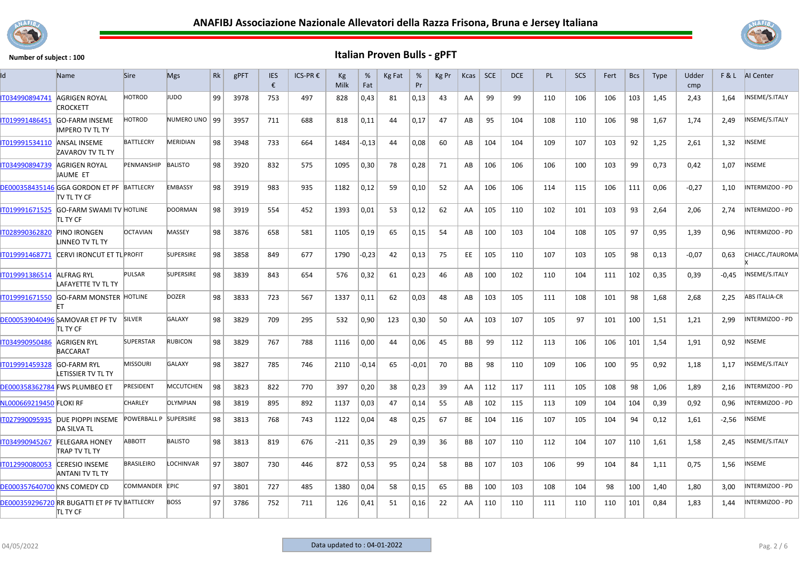



| Id                                  | <b>Name</b>                                                      | <b>Sire</b>           | <b>Mgs</b>       | Rk | gPFT | <b>IES</b><br>€ | ICS-PR€ | Кg<br>Milk | %<br>Fat | Kg Fat | %<br>Pr | Kg Pr | Kcas      | <b>SCE</b> | <b>DCE</b> | <b>PL</b> | SCS | Fert | <b>Bcs</b> | <b>Type</b> | Udder<br>cmp |         | <b>F&amp;L</b> AI Center |
|-------------------------------------|------------------------------------------------------------------|-----------------------|------------------|----|------|-----------------|---------|------------|----------|--------|---------|-------|-----------|------------|------------|-----------|-----|------|------------|-------------|--------------|---------|--------------------------|
| IT034990894741                      | AGRIGEN ROYAL<br>CROCKETT                                        | HOTROD                | IUDO             | 99 | 3978 | 753             | 497     | 828        | 0,43     | 81     | 0,13    | 43    | AA        | 99         | 99         | 110       | 106 | 106  | 103        | 1,45        | 2,43         | 1,64    | INSEME/S.ITALY           |
| IT019991486451                      | <b>GO-FARM INSEME</b><br>IMPERO TV TL TY                         | HOTROD                | NUMERO UNO   99  |    | 3957 | 711             | 688     | 818        | 0,11     | 44     | 0,17    | 47    | AB        | 95         | 104        | 108       | 110 | 106  | 98         | 1,67        | 1,74         | 2,49    | INSEME/S.ITALY           |
| IT019991534110                      | <b>ANSAL INSEME</b><br><b>ZAVAROV TV TL TY</b>                   | <b>BATTLECRY</b>      | <b>MERIDIAN</b>  | 98 | 3948 | 733             | 664     | 1484       | $-0,13$  | 44     | 0,08    | 60    | AB        | 104        | 104        | 109       | 107 | 103  | 92         | 1,25        | 2,61         | 1,32    | INSEME                   |
| IT034990894739                      | AGRIGEN ROYAL<br>IAUME ET                                        | PENMANSHIP BALISTO    |                  | 98 | 3920 | 832             | 575     | 1095       | 0,30     | 78     | 0,28    | 71    | AB        | 106        | 106        | 106       | 100 | 103  | 99         | 0,73        | 0,42         | 1,07    | NSEME                    |
|                                     | DE000358435146 GGA GORDON ET PF BATTLECRY<br><b>ITV TL TY CF</b> |                       | <b>EMBASSY</b>   | 98 | 3919 | 983             | 935     | 1182       | 0,12     | 59     | 0,10    | 52    | AA        | 106        | 106        | 114       | 115 | 106  | 111        | 0,06        | $-0,27$      | 1,10    | INTERMIZOO - PD          |
| IT019991671525                      | <b>GO-FARM SWAMI TV HOTLINE</b><br>itl ty CF                     |                       | <b>DOORMAN</b>   | 98 | 3919 | 554             | 452     | 1393       | 0,01     | 53     | 0,12    | 62    | AA        | 105        | 110        | 102       | 101 | 103  | 93         | 2,64        | 2,06         | 2,74    | INTERMIZOO - PD          |
| IT028990362820                      | <b>PINO IRONGEN</b><br>LINNEO TV TL TY                           | <b>OCTAVIAN</b>       | MASSEY           | 98 | 3876 | 658             | 581     | 1105       | 0,19     | 65     | 0,15    | 54    | AB        | 100        | 103        | 104       | 108 | 105  | 97         | 0,95        | 1,39         | 0,96    | NTERMIZOO - PD           |
| IT019991468771                      | CERVI IRONCUT ET TL PROFIT                                       |                       | <b>SUPERSIRE</b> | 98 | 3858 | 849             | 677     | 1790       | $-0,23$  | 42     | 0,13    | 75    | EE        | 105        | 110        | 107       | 103 | 105  | 98         | 0,13        | $-0,07$      | 0,63    | CHIACC./TAUROMA          |
| IT019991386514                      | <b>ALFRAG RYL</b><br>LAFAYETTE TV TL TY                          | <b>PULSAR</b>         | <b>SUPERSIRE</b> | 98 | 3839 | 843             | 654     | 576        | 0,32     | 61     | 0,23    | 46    | AB        | 100        | 102        | 110       | 104 | 111  | 102        | 0,35        | 0,39         | $-0,45$ | INSEME/S.ITALY           |
| IT019991671550                      | <b>GO-FARM MONSTER HOTLINE</b>                                   |                       | <b>DOZER</b>     | 98 | 3833 | 723             | 567     | 1337       | 0,11     | 62     | 0,03    | 48    | AB        | 103        | 105        | 111       | 108 | 101  | 98         | 1,68        | 2,68         | 2,25    | <b>ABS ITALIA-CR</b>     |
|                                     | DE000539040496 SAMOVAR ET PF TV<br>tl ty CF                      | <b>SILVER</b>         | <b>GALAXY</b>    | 98 | 3829 | 709             | 295     | 532        | 0,90     | 123    | 0,30    | 50    | AA        | 103        | 107        | 105       | 97  | 101  | 100        | 1,51        | 1,21         | 2,99    | INTERMIZOO - PD          |
| IT034990950486                      | AGRIGEN RYL<br><b>BACCARAT</b>                                   | <b>SUPERSTAR</b>      | <b>RUBICON</b>   | 98 | 3829 | 767             | 788     | 1116       | 0,00     | 44     | 0.06    | 45    | <b>BB</b> | 99         | 112        | 113       | 106 | 106  | 101        | 1,54        | 1,91         | 0.92    | NSEME                    |
| IT019991459328                      | <b>GO-FARM RYL</b><br>LETISSIER TV TL TY                         | <b>MISSOURI</b>       | <b>GALAXY</b>    | 98 | 3827 | 785             | 746     | 2110       | $-0,14$  | 65     | $-0.01$ | 70    | <b>BB</b> | 98         | 110        | 109       | 106 | 100  | 95         | 0,92        | 1,18         | 1,17    | INSEME/S.ITALY           |
|                                     | <b>DE000358362784 FWS PLUMBEO ET</b>                             | PRESIDENT             | <b>MCCUTCHEN</b> | 98 | 3823 | 822             | 770     | 397        | 0,20     | 38     | 0,23    | 39    | AA        | 112        | 117        | 111       | 105 | 108  | 98         | 1.06        | 1.89         | 2.16    | NTERMIZOO - PD           |
| NL000669219450 FLOKI RF             |                                                                  | CHARLEY               | <b>OLYMPIAN</b>  | 98 | 3819 | 895             | 892     | 1137       | 0,03     | 47     | 0,14    | 55    | AB        | 102        | 115        | 113       | 109 | 104  | 104        | 0.39        | 0.92         | 0.96    | INTERMIZOO - PD          |
|                                     | IT027990095935 DUE PIOPPI INSEME<br><b>DA SILVA TL</b>           | POWERBALL P SUPERSIRE |                  | 98 | 3813 | 768             | 743     | 1122       | 0,04     | 48     | 0,25    | 67    | BE        | 104        | 116        | 107       | 105 | 104  | 94         | 0,12        | 1,61         | $-2,56$ | NSEME                    |
|                                     | IT034990945267 FELEGARA HONEY<br>TRAP TV TL TY                   | <b>ABBOTT</b>         | <b>BALISTO</b>   | 98 | 3813 | 819             | 676     | $-211$     | 0,35     | 29     | 0,39    | 36    | BB        | 107        | 110        | 112       | 104 | 107  | 110        | 1,61        | 1,58         | 2,45    | INSEME/S.ITALY           |
| IT012990080053                      | <b>CERESIO INSEME</b><br>ANTANI TV TL TY                         | <b>BRASILEIRO</b>     | LOCHINVAR        | 97 | 3807 | 730             | 446     | 872        | 0,53     | 95     | 0,24    | 58    | BB        | 107        | 103        | 106       | 99  | 104  | 84         | 1,11        | 0,75         | 1,56    | NSEME                    |
| <b>DE000357640700 KNS COMEDY CD</b> |                                                                  | COMMANDER EPIC        |                  | 97 | 3801 | 727             | 485     | 1380       | 0,04     | 58     | 0,15    | 65    | BB        | 100        | 103        | 108       | 104 | 98   | 100        | 1,40        | 1,80         | 3.00    | INTERMIZOO - PD          |
|                                     | DE000359296720 RR BUGATTI ET PF TV BATTLECRY<br><b>TL TY CF</b>  |                       | <b>BOSS</b>      | 97 | 3786 | 752             | 711     | 126        | 0,41     | 51     | 0,16    | 22    | AA        | 110        | 110        | 111       | 110 | 110  | 101        | 0,84        | 1,83         | 1,44    | NTERMIZOO - PD           |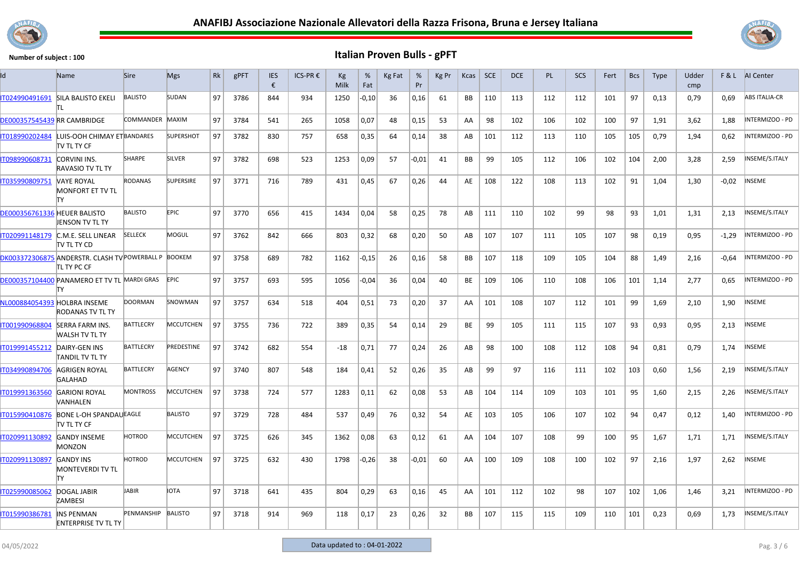



| ld                           | Name                                                                 | Sire             | <b>Mgs</b>       | Rk | gPFT | <b>IES</b><br>€ | ICS-PR € | Кg<br>Milk | %<br>Fat | Kg Fat | %<br>Pr | Kg Pr | Kcas      | <b>SCE</b> | <b>DCE</b> | PL  | <b>SCS</b> | Fert | <b>Bcs</b> | Type | Udder<br>cmp |         | F & L AI Center        |
|------------------------------|----------------------------------------------------------------------|------------------|------------------|----|------|-----------------|----------|------------|----------|--------|---------|-------|-----------|------------|------------|-----|------------|------|------------|------|--------------|---------|------------------------|
| IT024990491691               | <b>SILA BALISTO EKELI</b>                                            | <b>BALISTO</b>   | SUDAN            | 97 | 3786 | 844             | 934      | 1250       | $-0,10$  | 36     | 0,16    | 61    | <b>BB</b> | 110        | 113        | 112 | 112        | 101  | 97         | 0,13 | 0,79         | 0,69    | <b>ABS ITALIA-CR</b>   |
| DE000357545439 RR CAMBRIDGE  |                                                                      | COMMANDER MAXIM  |                  | 97 | 3784 | 541             | 265      | 1058       | 0,07     | 48     | 0,15    | 53    | AA        | 98         | 102        | 106 | 102        | 100  | 97         | 1,91 | 3,62         | 1,88    | INTERMIZOO - PD        |
| IT018990202484               | LUIS-OOH CHIMAY ET BANDARES<br>tv tl ty cf                           |                  | <b>SUPERSHOT</b> | 97 | 3782 | 830             | 757      | 658        | 0,35     | 64     | 0,14    | 38    | AB        | 101        | 112        | 113 | 110        | 105  | 105        | 0,79 | 1,94         | 0,62    | INTERMIZOO - PD        |
| IT098990608731               | <b>CORVINI INS.</b><br><b>RAVASIO TV TL TY</b>                       | <b>SHARPE</b>    | <b>SILVER</b>    | 97 | 3782 | 698             | 523      | 1253       | 0,09     | 57     | $-0.01$ | 41    | <b>BB</b> | 99         | 105        | 112 | 106        | 102  | 104        | 2,00 | 3,28         | 2,59    | INSEME/S.ITALY         |
| IT035990809751               | <b>VAYE ROYAL</b><br><b>MONFORT ET TV TL</b><br>lΤY                  | <b>RODANAS</b>   | <b>SUPERSIRE</b> | 97 | 3771 | 716             | 789      | 431        | 0,45     | 67     | 0,26    | 44    | AE        | 108        | 122        | 108 | 113        | 102  | 91         | 1,04 | 1,30         | $-0,02$ | <b>INSEME</b>          |
| DE000356761336 HEUER BALISTO | JENSON TV TL TY                                                      | <b>BALISTO</b>   | <b>EPIC</b>      | 97 | 3770 | 656             | 415      | 1434       | 0,04     | 58     | 0,25    | 78    | AB        | 111        | 110        | 102 | 99         | 98   | 93         | 1,01 | 1,31         | 2,13    | INSEME/S.ITALY         |
| IT020991148179               | C.M.E. SELL LINEAR<br>TV TL TY CD                                    | <b>SELLECK</b>   | <b>MOGUL</b>     | 97 | 3762 | 842             | 666      | 803        | 0,32     | 68     | 0,20    | 50    | AB        | 107        | 107        | 111 | 105        | 107  | 98         | 0,19 | 0,95         | $-1,29$ | INTERMIZOO - PD        |
|                              | DK003372306875 ANDERSTR. CLASH TV POWERBALL P BOOKEM<br>itl ty PC CF |                  |                  | 97 | 3758 | 689             | 782      | 1162       | $-0.15$  | 26     | 0,16    | 58    | BB        | 107        | 118        | 109 | 105        | 104  | 88         | 1,49 | 2,16         | $-0.64$ | <b>INTERMIZOO - PD</b> |
|                              | DE000357104400 PANAMERO ET TV TL MARDI GRAS<br>lΤY                   |                  | <b>EPIC</b>      | 97 | 3757 | 693             | 595      | 1056       | $-0.04$  | 36     | 0,04    | 40    | BE        | 109        | 106        | 110 | 108        | 106  | 101        | 1,14 | 2,77         | 0.65    | INTERMIZOO - PD        |
| NL000884054393 HOLBRA INSEME | RODANAS TV TL TY                                                     | <b>DOORMAN</b>   | SNOWMAN          | 97 | 3757 | 634             | 518      | 404        | 0,51     | 73     | 0,20    | 37    | AA        | 101        | 108        | 107 | 112        | 101  | 99         | 1,69 | 2,10         | 1,90    | <b>INSEME</b>          |
| IT001990968804               | <b>SERRA FARM INS.</b><br>WALSH TV TL TY                             | <b>BATTLECRY</b> | <b>MCCUTCHEN</b> | 97 | 3755 | 736             | 722      | 389        | 0,35     | 54     | 0,14    | 29    | BE        | 99         | 105        | 111 | 115        | 107  | 93         | 0,93 | 0,95         | 2,13    | INSEME                 |
| IT019991455212               | DAIRY-GEN INS<br>TANDIL TV TL TY                                     | <b>BATTLECRY</b> | PREDESTINE       | 97 | 3742 | 682             | 554      | -18        | 0,71     | 77     | 0,24    | 26    | AB        | 98         | 100        | 108 | 112        | 108  | 94         | 0,81 | 0,79         | 1,74    | <b>NSEME</b>           |
| IT034990894706               | AGRIGEN ROYAL<br><b>GALAHAD</b>                                      | <b>BATTLECRY</b> | AGENCY           | 97 | 3740 | 807             | 548      | 184        | 0,41     | 52     | 0,26    | 35    | AB        | 99         | 97         | 116 | 111        | 102  | 103        | 0,60 | 1,56         | 2,19    | INSEME/S.ITALY         |
| IT019991363560               | <b>GARIONI ROYAL</b><br>VANHALEN                                     | <b>MONTROSS</b>  | <b>MCCUTCHEN</b> | 97 | 3738 | 724             | 577      | 1283       | 0,11     | 62     | 0,08    | 53    | AB        | 104        | 114        | 109 | 103        | 101  | 95         | 1,60 | 2,15         | 2,26    | INSEME/S.ITALY         |
| IT015990410876               | <b>BONE L-OH SPANDAUEAGLE</b><br>ITV TL TY CF                        |                  | <b>BALISTO</b>   | 97 | 3729 | 728             | 484      | 537        | 0,49     | 76     | 0,32    | 54    | AE        | 103        | 105        | 106 | 107        | 102  | 94         | 0,47 | 0,12         | 1,40    | NTERMIZOO - PD         |
| IT020991130892               | <b>GANDY INSEME</b><br><b>MONZON</b>                                 | <b>HOTROD</b>    | <b>MCCUTCHEN</b> | 97 | 3725 | 626             | 345      | 1362       | 0,08     | 63     | 0,12    | 61    | AA        | 104        | 107        | 108 | 99         | 100  | 95         | 1,67 | 1,71         | 1,71    | INSEME/S.ITALY         |
| IT020991130897               | <b>GANDY INS</b><br><b>MONTEVERDI TV TL</b><br>IΤY                   | <b>HOTROD</b>    | <b>MCCUTCHEN</b> | 97 | 3725 | 632             | 430      | 1798       | $-0,26$  | 38     | $-0.01$ | 60    | AA        | 100        | 109        | 108 | 100        | 102  | 97         | 2,16 | 1,97         | 2,62    | <b>NSEME</b>           |
| IT025990085062               | <b>DOGAL JABIR</b><br><b>ZAMBESI</b>                                 | <b>JABIR</b>     | IOTA             | 97 | 3718 | 641             | 435      | 804        | 0,29     | 63     | 0,16    | 45    | AA        | 101        | 112        | 102 | 98         | 107  | 102        | 1,06 | 1,46         | 3,21    | INTERMIZOO - PD        |
| IT015990386781               | <b>INS PENMAN</b><br><b>ENTERPRISE TV TL TY</b>                      | PENMANSHIP       | <b>BALISTO</b>   | 97 | 3718 | 914             | 969      | 118        | 0,17     | 23     | 0,26    | 32    | BB        | 107        | 115        | 115 | 109        | 110  | 101        | 0,23 | 0,69         | 1,73    | INSEME/S.ITALY         |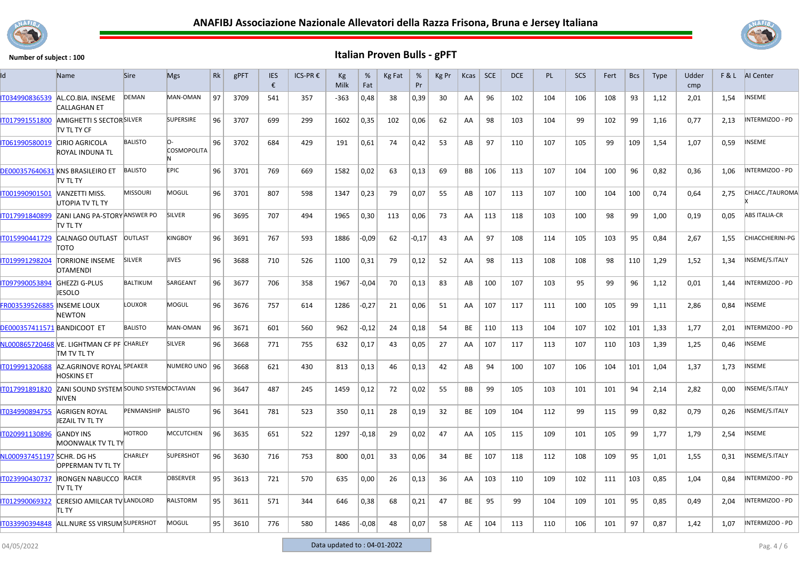



| Id                                | Name                                                            | <b>Sire</b>        | <b>Mgs</b>        | Rk | gPFT | <b>IES</b><br>€ | ICS-PR € | Кg<br>Milk | %<br>Fat | Kg Fat | %<br>Pr | Kg Pr | Kcas | <b>SCE</b> | <b>DCE</b> | <b>PL</b> | SCS | Fert | <b>Bcs</b> | <b>Type</b> | Udder<br>cmp |      | F & L AI Center      |
|-----------------------------------|-----------------------------------------------------------------|--------------------|-------------------|----|------|-----------------|----------|------------|----------|--------|---------|-------|------|------------|------------|-----------|-----|------|------------|-------------|--------------|------|----------------------|
| IT034990836539                    | AL.CO.BIA. INSEME<br><b>CALLAGHAN ET</b>                        | <b>DEMAN</b>       | MAN-OMAN          | 97 | 3709 | 541             | 357      | $-363$     | 0,48     | 38     | 0,39    | 30    | AA   | 96         | 102        | 104       | 106 | 108  | 93         | 1,12        | 2,01         | 1,54 | INSEME               |
| IT017991551800                    | <b>AMIGHETTI S SECTOR SILVER</b><br>itv tl ty CF                |                    | <b>SUPERSIRE</b>  | 96 | 3707 | 699             | 299      | 1602       | 0,35     | 102    | 0,06    | 62    | AA   | 98         | 103        | 104       | 99  | 102  | 99         | 1,16        | 0,77         | 2,13 | INTERMIZOO - PD      |
| IT061990580019                    | <b>CIRIO AGRICOLA</b><br>ROYAL INDUNA TL                        | <b>BALISTO</b>     | O-<br>COSMOPOLITA | 96 | 3702 | 684             | 429      | 191        | 0,61     | 74     | 0,42    | 53    | AB   | 97         | 110        | 107       | 105 | 99   | 109        | 1,54        | 1,07         | 0,59 | NSEME                |
|                                   | DE000357640631 KNS BRASILEIRO ET<br>itv tl ty                   | <b>BALISTO</b>     | <b>EPIC</b>       | 96 | 3701 | 769             | 669      | 1582       | 0,02     | 63     | 0,13    | 69    | BB   | 106        | 113        | 107       | 104 | 100  | 96         | 0,82        | 0,36         | 1,06 | INTERMIZOO - PD      |
| IT001990901501                    | <b>NANZETTI MISS.</b><br>UTOPIA TV TL TY                        | <b>MISSOURI</b>    | MOGUL             | 96 | 3701 | 807             | 598      | 1347       | 0,23     | 79     | 0,07    | 55    | AB   | 107        | 113        | 107       | 100 | 104  | 100        | 0,74        | 0,64         | 2,75 | CHIACC./TAUROMA      |
| IT017991840899                    | ZANI LANG PA-STORY ANSWER PO<br>itv tl ty                       |                    | <b>SILVER</b>     | 96 | 3695 | 707             | 494      | 1965       | 0,30     | 113    | 0,06    | 73    | AA   | 113        | 118        | 103       | 100 | 98   | 99         | 1,00        | 0,19         | 0,05 | <b>ABS ITALIA-CR</b> |
| IT015990441729                    | CALNAGO OUTLAST<br>тото                                         | <b>OUTLAST</b>     | KINGBOY           | 96 | 3691 | 767             | 593      | 1886       | $-0,09$  | 62     | $-0,17$ | 43    | AA   | 97         | 108        | 114       | 105 | 103  | 95         | 0,84        | 2,67         | 1,55 | CHIACCHIERINI-PG     |
| IT019991298204                    | <b>TORRIONE INSEME</b><br><b>OTAMENDI</b>                       | <b>SILVER</b>      | <b>JIVES</b>      | 96 | 3688 | 710             | 526      | 1100       | 0,31     | 79     | 0,12    | 52    | AA   | 98         | 113        | 108       | 108 | 98   | 110        | 1,29        | 1,52         | 1,34 | INSEME/S.ITALY       |
| IT097990053894                    | <b>GHEZZI G-PLUS</b><br><b>JESOLO</b>                           | <b>BALTIKUM</b>    | SARGEANT          | 96 | 3677 | 706             | 358      | 1967       | $-0,04$  | 70     | 0,13    | 83    | AB   | 100        | 107        | 103       | 95  | 99   | 96         | 1,12        | 0,01         | 1,44 | INTERMIZOO - PD      |
| <b>FR003539526885 INSEME LOUX</b> | <b>NEWTON</b>                                                   | LOUXOR             | MOGUL             | 96 | 3676 | 757             | 614      | 1286       | $-0,27$  | 21     | 0,06    | 51    | AA   | 107        | 117        | 111       | 100 | 105  | 99         | 1,11        | 2,86         | 0,84 | INSEME               |
| DE000357411571 BANDICOOT ET       |                                                                 | <b>BALISTO</b>     | MAN-OMAN          | 96 | 3671 | 601             | 560      | 962        | $-0,12$  | 24     | 0,18    | 54    | BE   | 110        | 113        | 104       | 107 | 102  | 101        | 1,33        | 1,77         | 2.01 | INTERMIZOO - PD      |
|                                   | NL000865720468 VE. LIGHTMAN CF PF CHARLEY<br><b>TM TV TL TY</b> |                    | SILVER            | 96 | 3668 | 771             | 755      | 632        | 0,17     | 43     | 0,05    | 27    | AA   | 107        | 117        | 113       | 107 | 110  | 103        | 1,39        | 1,25         | 0,46 | INSEME               |
| IT019991320688                    | AZ.AGRINOVE ROYAL SPEAKER<br>HOSKINS ET                         |                    | NUMERO UNO   96   |    | 3668 | 621             | 430      | 813        | 0,13     | 46     | 0,13    | 42    | AB   | 94         | 100        | 107       | 106 | 104  | 101        | 1,04        | 1,37         | 1,73 | <b>INSEME</b>        |
| IT017991891820                    | ZANI SOUND SYSTEM SOUND SYSTEM OCTAVIAN<br>NIVEN                |                    |                   | 96 | 3647 | 487             | 245      | 1459       | 0,12     | 72     | 0,02    | 55    | BB   | 99         | 105        | 103       | 101 | 101  | 94         | 2,14        | 2,82         | 0,00 | INSEME/S.ITALY       |
| IT034990894755                    | AGRIGEN ROYAL<br>JEZAIL TV TL TY                                | PENMANSHIP BALISTO |                   | 96 | 3641 | 781             | 523      | 350        | 0,11     | 28     | 0,19    | 32    | BE   | 109        | 104        | 112       | 99  | 115  | 99         | 0,82        | 0,79         | 0,26 | INSEME/S.ITALY       |
| IT020991130896                    | <b>GANDY INS</b><br><b>MOONWALK TV TL TY</b>                    | HOTROD             | <b>MCCUTCHEN</b>  | 96 | 3635 | 651             | 522      | 1297       | $-0,18$  | 29     | 0,02    | 47    | AA   | 105        | 115        | 109       | 101 | 105  | 99         | 1,77        | 1,79         | 2,54 | NSEME                |
| NL000937451197 SCHR. DG HS        | <b>OPPERMAN TV TL TY</b>                                        | CHARLEY            | <b>SUPERSHOT</b>  | 96 | 3630 | 716             | 753      | 800        | 0,01     | 33     | 0,06    | 34    | BE   | 107        | 118        | 112       | 108 | 109  | 95         | 1,01        | 1,55         | 0,31 | INSEME/S.ITALY       |
| IT023990430737                    | <b>IRONGEN NABUCCO RACER</b><br>itv tl ty                       |                    | <b>OBSERVER</b>   | 95 | 3613 | 721             | 570      | 635        | 0,00     | 26     | 0,13    | 36    | AA   | 103        | 110        | 109       | 102 | 111  | 103        | 0,85        | 1,04         | 0,84 | INTERMIZOO - PD      |
| IT012990069322                    | CERESIO AMILCAR TV LANDLORD<br>tl ty                            |                    | <b>RALSTORM</b>   | 95 | 3611 | 571             | 344      | 646        | 0,38     | 68     | 0,21    | 47    | BE   | 95         | 99         | 104       | 109 | 101  | 95         | 0,85        | 0,49         | 2,04 | INTERMIZOO - PD      |
| IT033990394848                    | ALL.NURE SS VIRSUM SUPERSHOT                                    |                    | MOGUL             | 95 | 3610 | 776             | 580      | 1486       | -0,08    | 48     | 0,07    | 58    | AE   | 104        | 113        | 110       | 106 | 101  | 97         | 0,87        | 1,42         | 1.07 | INTERMIZOO - PD      |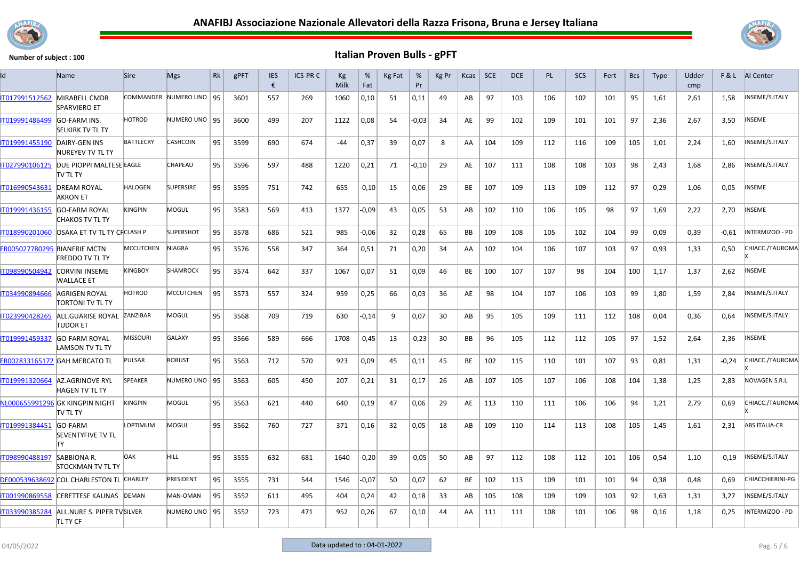



| Id                           | Name                                              | <b>Sire</b>      | <b>Mgs</b>              | Rk | gPFT | <b>IES</b><br>€ | ICS-PR € | Кg<br>Milk | %<br>Fat | Kg Fat | %<br>Pr | Kg Pr | Kcas | <b>SCE</b> | <b>DCE</b> | PL  | SCS | Fert | <b>Bcs</b> | <b>Type</b> | Udder<br>cmp |         | F & L AI Center         |
|------------------------------|---------------------------------------------------|------------------|-------------------------|----|------|-----------------|----------|------------|----------|--------|---------|-------|------|------------|------------|-----|-----|------|------------|-------------|--------------|---------|-------------------------|
| IT017991512562               | MIRABELL CMDR<br><b>SPARVIERO ET</b>              |                  | COMMANDER NUMERO UNO 95 |    | 3601 | 557             | 269      | 1060       | 0,10     | 51     | 0,11    | 49    | AB   | 97         | 103        | 106 | 102 | 101  | 95         | 1,61        | 2,61         | 1,58    | INSEME/S.ITALY          |
| IT019991486499               | <b>GO-FARM INS.</b><br><b>SELKIRK TV TL TY</b>    | <b>HOTROD</b>    | NUMERO UNO   95         |    | 3600 | 499             | 207      | 1122       | 0,08     | 54     | $-0.03$ | 34    | AE   | 99         | 102        | 109 | 101 | 101  | 97         | 2,36        | 2,67         | 3,50    | <b>INSEME</b>           |
| IT019991455190               | DAIRY-GEN INS<br>NUREYEV TV TL TY                 | <b>BATTLECRY</b> | <b>CASHCOIN</b>         | 95 | 3599 | 690             | 674      | -44        | 0,37     | 39     | 0,07    | 8     | AA   | 104        | 109        | 112 | 116 | 109  | 105        | 1,01        | 2,24         | 1,60    | NSEME/S.ITALY           |
| IT027990106125               | DUE PIOPPI MALTESE EAGLE<br><b>TV TL TY</b>       |                  | CHAPEAU                 | 95 | 3596 | 597             | 488      | 1220       | 0,21     | 71     | $-0,10$ | 29    | AE   | 107        | 111        | 108 | 108 | 103  | 98         | 2,43        | 1,68         | 2,86    | INSEME/S.ITALY          |
| IT016990543631               | <b>DREAM ROYAL</b><br><b>AKRON ET</b>             | <b>HALOGEN</b>   | <b>SUPERSIRE</b>        | 95 | 3595 | 751             | 742      | 655        | $-0,10$  | 15     | 0,06    | 29    | BE   | 107        | 109        | 113 | 109 | 112  | 97         | 0,29        | 1,06         | 0,05    | NSEME                   |
| T019991436155                | <b>GO-FARM ROYAL</b><br>CHAKOS TV TL TY           | KINGPIN          | MOGUL                   | 95 | 3583 | 569             | 413      | 1377       | $-0,09$  | 43     | 0,05    | 53    | AB   | 102        | 110        | 106 | 105 | 98   | 97         | 1,69        | 2,22         | 2,70    | NSEME                   |
| IT018990201060               | <b>OSAKA ET TV TL TY CFCLASH P</b>                |                  | <b>SUPERSHOT</b>        | 95 | 3578 | 686             | 521      | 985        | $-0,06$  | 32     | 0,28    | 65    | BB   | 109        | 108        | 105 | 102 | 104  | 99         | 0,09        | 0,39         | $-0.61$ | INTERMIZOO - PD         |
| FR005027780295 BIANFRIE MCTN | <b>FREDDO TV TL TY</b>                            | <b>MCCUTCHEN</b> | <b>NIAGRA</b>           | 95 | 3576 | 558             | 347      | 364        | 0,51     | 71     | 0,20    | 34    | AA   | 102        | 104        | 106 | 107 | 103  | 97         | 0,93        | 1,33         | 0,50    | CHIACC./TAUROMA         |
| IT098990504942               | <b>CORVINI INSEME</b><br><b>WALLACE ET</b>        | KINGBOY          | SHAMROCK                | 95 | 3574 | 642             | 337      | 1067       | 0,07     | 51     | 0,09    | 46    | BE   | 100        | 107        | 107 | 98  | 104  | 100        | 1,17        | 1,37         | 2,62    | NSEME                   |
| IT034990894666               | AGRIGEN ROYAL<br>TORTONI TV TL TY                 | HOTROD           | MCCUTCHEN               | 95 | 3573 | 557             | 324      | 959        | 0,25     | 66     | 0,03    | 36    | AE   | 98         | 104        | 107 | 106 | 103  | 99         | 1,80        | 1,59         | 2,84    | NSEME/S.ITALY           |
| IT023990428265               | ALL.GUARISE ROYAL<br>TUDOR ET                     | ZANZIBAR         | MOGUL                   | 95 | 3568 | 709             | 719      | 630        | $-0,14$  | 9      | 0,07    | 30    | AB   | 95         | 105        | 109 | 111 | 112  | 108        | 0,04        | 0,36         | 0,64    | INSEME/S.ITALY          |
| IT019991459337               | <b>GO-FARM ROYAL</b><br>LAMSON TV TL TY           | <b>MISSOURI</b>  | <b>GALAXY</b>           | 95 | 3566 | 589             | 666      | 1708       | $-0,45$  | 13     | $-0,23$ | 30    | BB   | 96         | 105        | 112 | 112 | 105  | 97         | 1,52        | 2,64         | 2,36    | INSEME                  |
|                              | FR002833165172 GAH MERCATO TL                     | PULSAR           | <b>ROBUST</b>           | 95 | 3563 | 712             | 570      | 923        | 0,09     | 45     | 0,11    | 45    | BE   | 102        | 115        | 110 | 101 | 107  | 93         | 0,81        | 1,31         | $-0,24$ | CHIACC./TAUROMA         |
| IT019991320664               | <b>AZ.AGRINOVE RYL</b><br><b>HAGEN TV TL TY</b>   | <b>SPEAKER</b>   | NUMERO UNO   95         |    | 3563 | 605             | 450      | 207        | 0,21     | 31     | 0,17    | 26    | AB   | 107        | 105        | 107 | 106 | 108  | 104        | 1,38        | 1,25         | 2,83    | NOVAGEN S.R.L.          |
|                              | NL000655991296 GK KINGPIN NIGHT<br>TV TL TY       | KINGPIN          | MOGUL                   | 95 | 3563 | 621             | 440      | 640        | 0,19     | 47     | 0,06    | 29    | AE   | 113        | 110        | 111 | 106 | 106  | 94         | 1,21        | 2,79         | 0,69    | CHIACC./TAUROMA         |
| IT019991384451               | <b>GO-FARM</b><br><b>SEVENTYFIVE TV TL</b><br>lΤY | LOPTIMUM         | MOGUL                   | 95 | 3562 | 760             | 727      | 371        | 0,16     | 32     | 0,05    | 18    | AB   | 109        | 110        | 114 | 113 | 108  | 105        | 1,45        | 1,61         | 2,31    | <b>ABS ITALIA-CR</b>    |
| IT098990488197               | <b>SABBIONA R.</b><br><b>STOCKMAN TV TL TY</b>    | <b>DAK</b>       | HILL.                   | 95 | 3555 | 632             | 681      | 1640       | $-0,20$  | 39     | $-0.05$ | 50    | AB   | 97         | 112        | 108 | 112 | 101  | 106        | 0,54        | 1,10         | $-0,19$ | INSEME/S.ITALY          |
|                              | DE000539638692 COL CHARLESTON TL CHARLEY          |                  | PRESIDENT               | 95 | 3555 | 731             | 544      | 1546       | -0,07    | 50     | 0,07    | 62    | BE   | 102        | 113        | 109 | 101 | 101  | 94         | 0,38        | 0,48         | 0,69    | <b>CHIACCHIERINI-PG</b> |
| IT001990869558               | <b>CERETTESE KAUNAS</b>                           | DEMAN            | MAN-OMAN                | 95 | 3552 | 611             | 495      | 404        | 0,24     | 42     | 0,18    | 33    | AB   | 105        | 108        | 109 | 109 | 103  | 92         | 1,63        | 1,31         | 3,27    | INSEME/S.ITALY          |
| IT033990385284               | ALL.NURE S. PIPER TV SILVER<br><b>ITL TY CF</b>   |                  | NUMERO UNO   95         |    | 3552 | 723             | 471      | 952        | 0,26     | 67     | 0,10    | 44    | AA   | 111        | 111        | 108 | 101 | 106  | 98         | 0,16        | 1,18         | 0,25    | NTERMIZOO - PD          |